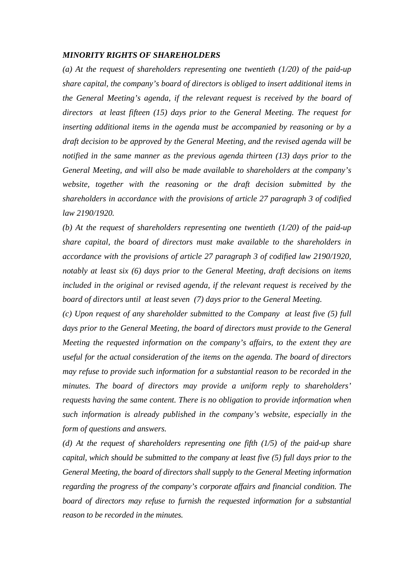## *MINORITY RIGHTS OF SHAREHOLDERS*

*(a) At the request of shareholders representing one twentieth (1/20) of the paid-up share capital, the company's board of directors is obliged to insert additional items in the General Meeting's agenda, if the relevant request is received by the board of directors at least fifteen (15) days prior to the General Meeting. The request for inserting additional items in the agenda must be accompanied by reasoning or by a draft decision to be approved by the General Meeting, and the revised agenda will be notified in the same manner as the previous agenda thirteen (13) days prior to the General Meeting, and will also be made available to shareholders at the company's website, together with the reasoning or the draft decision submitted by the shareholders in accordance with the provisions of article 27 paragraph 3 of codified law 2190/1920.* 

*(b) At the request of shareholders representing one twentieth (1/20) of the paid-up share capital, the board of directors must make available to the shareholders in accordance with the provisions of article 27 paragraph 3 of codified law 2190/1920, notably at least six (6) days prior to the General Meeting, draft decisions on items included in the original or revised agenda, if the relevant request is received by the board of directors until at least seven (7) days prior to the General Meeting.* 

*(c) Upon request of any shareholder submitted to the Company at least five (5) full days prior to the General Meeting, the board of directors must provide to the General Meeting the requested information on the company's affairs, to the extent they are useful for the actual consideration of the items on the agenda. The board of directors may refuse to provide such information for a substantial reason to be recorded in the minutes. The board of directors may provide a uniform reply to shareholders' requests having the same content. There is no obligation to provide information when such information is already published in the company's website, especially in the form of questions and answers.* 

*(d) At the request of shareholders representing one fifth (1/5) of the paid-up share capital, which should be submitted to the company at least five (5) full days prior to the General Meeting, the board of directors shall supply to the General Meeting information regarding the progress of the company's corporate affairs and financial condition. The board of directors may refuse to furnish the requested information for a substantial reason to be recorded in the minutes.*